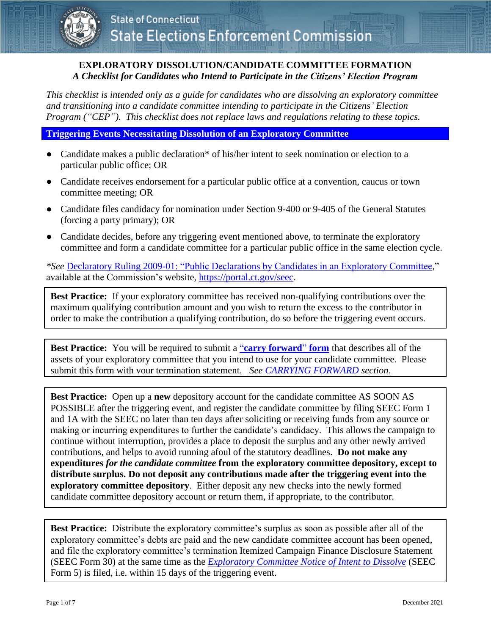## **EXPLORATORY DISSOLUTION/CANDIDATE COMMITTEE FORMATION** *A Checklist for Candidates who Intend to Participate in the Citizens' Election Program*

*This checklist is intended only as a guide for candidates who are dissolving an exploratory committee and transitioning into a candidate committee intending to participate in the Citizens' Election Program ("CEP"). This checklist does not replace laws and regulations relating to these topics.* 

**Triggering Events Necessitating Dissolution of an Exploratory Committee**

- Candidate makes a public declaration\* of his/her intent to seek nomination or election to a particular public office; OR
- Candidate receives endorsement for a particular public office at a convention, caucus or town committee meeting; OR
- Candidate files candidacy for nomination under Section 9-400 or 9-405 of the General Statutes (forcing a party primary); OR
- Candidate decides, before any triggering event mentioned above, to terminate the exploratory committee and form a candidate committee for a particular public office in the same election cycle.

*\*See* [Declaratory Ruling 2009-01: "Public Declarations by Candidates in an Exploratory Committee,](https://seec.ct.gov/Portal/data/DeclaratoryRulings/decruling200901.pdf)" available at the Commission's [website,](http://www.ct.gov/seec) [https://portal.ct.gov/seec.](https://portal.ct.gov/seec)

**Best Practice:** If your exploratory committee has received non-qualifying contributions over the maximum qualifying contribution amount and you wish to return the excess to the contributor in order to make the contribution a qualifying contribution, do so before the triggering event occurs.

**Best Practice:** You will be required to submit a "**[carry forward](https://seec.ct.gov/Portal/data/forms/RegForms/carry_forward_template_final.pdf)**" **form** that describes all of the assets of your exploratory committee that you intend to use for your candidate committee. Please submit this form with your termination statement. *See [CARRYING FORWARD](#page-4-0) section*.

**Best Practice:** Open up a **new** depository account for the candidate committee AS SOON AS POSSIBLE after the triggering event, and register the candidate committee by filing SEEC Form 1 and 1A with the SEEC no later than ten days after soliciting or receiving funds from any source or making or incurring expenditures to further the candidate's candidacy. This allows the campaign to continue without interruption, provides a place to deposit the surplus and any other newly arrived contributions, and helps to avoid running afoul of the statutory deadlines. **Do not make any expenditures** *for the candidate committee* **from the exploratory committee depository, except to distribute surplus. Do not deposit any contributions made after the triggering event into the exploratory committee depository**. Either deposit any new checks into the newly formed candidate committee depository account or return them, if appropriate, to the contributor.

**Best Practice:** Distribute the exploratory committee's surplus as soon as possible after all of the exploratory committee's debts are paid and the new candidate committee account has been opened, and file the exploratory committee's termination Itemized Campaign Finance Disclosure Statement (SEEC Form 30) at the same time as the *[Exploratory Committee Notice of Intent to Dissolve](http://seec.ct.gov/Portal/forms/RegForm)* (SEEC Form 5) is filed, i.e. within 15 days of the triggering event.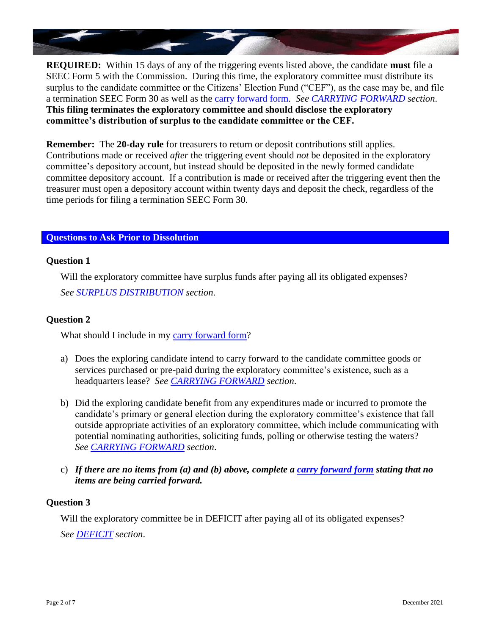

**REQUIRED:** Within 15 days of any of the triggering events listed above, the candidate **must** file a SEEC Form 5 with the Commission. During this time, the exploratory committee must distribute its surplus to the candidate committee or the Citizens' Election Fund ("CEF"), as the case may be, and file a termination SEEC Form 30 as well as the [carry forward](https://seec.ct.gov/Portal/data/forms/RegForms/carry_forward_template_final.pdf) form. *See [CARRYING FORWARD](#page-4-0) section*. **This filing terminates the exploratory committee and should disclose the exploratory committee's distribution of surplus to the candidate committee or the CEF.**

**Remember:** The **20-day rule** for treasurers to return or deposit contributions still applies. Contributions made or received *after* the triggering event should *not* be deposited in the exploratory committee's depository account, but instead should be deposited in the newly formed candidate committee depository account. If a contribution is made or received after the triggering event then the treasurer must open a depository account within twenty days and deposit the check, regardless of the time periods for filing a termination SEEC Form 30.

# **Questions to Ask Prior to Dissolution**

## **Question 1**

Will the exploratory committee have surplus funds after paying all its obligated expenses? *See [SURPLUS DISTRIBUTION](#page-5-0) section*.

## **Question 2**

What should I include in my [carry forward](https://seec.ct.gov/Portal/data/forms/RegForms/carry_forward_template_final.pdf) form?

- a) Does the exploring candidate intend to carry forward to the candidate committee goods or services purchased or pre-paid during the exploratory committee's existence, such as a headquarters lease? *See [CARRYING FORWARD](#page-4-0) section*.
- b) Did the exploring candidate benefit from any expenditures made or incurred to promote the candidate's primary or general election during the exploratory committee's existence that fall outside appropriate activities of an exploratory committee, which include communicating with potential nominating authorities, soliciting funds, polling or otherwise testing the waters? *See [CARRYING FORWARD](#page-4-0) section*.
- c) *If there are no items from (a) and (b) above, complete a [carry forward](https://seec.ct.gov/Portal/data/forms/RegForms/carry_forward_template_final.pdf) form stating that no items are being carried forward.*

## **Question 3**

Will the exploratory committee be in DEFICIT after paying all of its obligated expenses? *See [DEFICIT](#page-6-0) section*.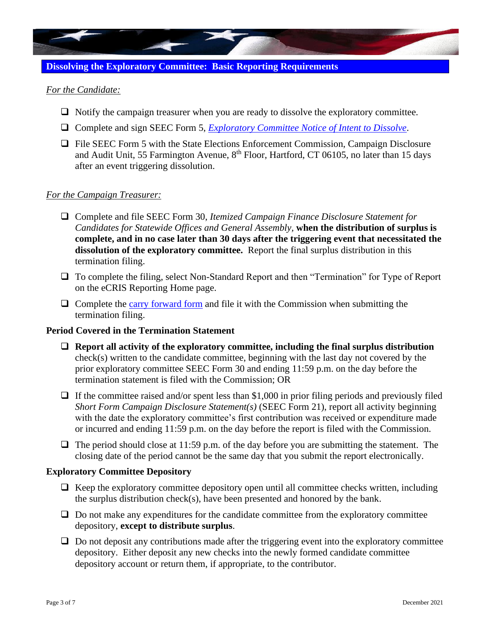

# **Dissolving the Exploratory Committee: Basic Reporting Requirements**

## *For the Candidate:*

- ❑ Notify the campaign treasurer when you are ready to dissolve the exploratory committee.
- ❑ Complete and sign SEEC Form 5, *[Exploratory Committee Notice of Intent to Dissolve](http://seec.ct.gov/Portal/forms/RegForm)*.
- ❑ File SEEC Form 5 with the State Elections Enforcement Commission, Campaign Disclosure and Audit Unit, 55 Farmington Avenue, 8<sup>th</sup> Floor, Hartford, CT 06105, no later than 15 days after an event triggering dissolution.

#### *For the Campaign Treasurer:*

- ❑ Complete and file SEEC Form 30, *Itemized Campaign Finance Disclosure Statement for Candidates for Statewide Offices and General Assembly,* **when the distribution of surplus is complete, and in no case later than 30 days after the triggering event that necessitated the dissolution of the exploratory committee.** Report the final surplus distribution in this termination filing.
- ❑ To complete the filing, select Non-Standard Report and then "Termination" for Type of Report on the eCRIS Reporting Home page.
- $\Box$  Complete the [carry forward form](https://seec.ct.gov/Portal/data/forms/RegForms/carry_forward_template_final.pdf) and file it with the Commission when submitting the termination filing.

## **Period Covered in the Termination Statement**

- ❑ **Report all activity of the exploratory committee, including the final surplus distribution**  check(s) written to the candidate committee, beginning with the last day not covered by the prior exploratory committee SEEC Form 30 and ending 11:59 p.m. on the day before the termination statement is filed with the Commission; OR
- $\Box$  If the committee raised and/or spent less than \$1,000 in prior filing periods and previously filed *Short Form Campaign Disclosure Statement(s)* (SEEC Form 21), report all activity beginning with the date the exploratory committee's first contribution was received or expenditure made or incurred and ending 11:59 p.m. on the day before the report is filed with the Commission.
- $\Box$  The period should close at 11:59 p.m. of the day before you are submitting the statement. The closing date of the period cannot be the same day that you submit the report electronically.

## **Exploratory Committee Depository**

- $\Box$  Keep the exploratory committee depository open until all committee checks written, including the surplus distribution check(s), have been presented and honored by the bank.
- $\Box$  Do not make any expenditures for the candidate committee from the exploratory committee depository, **except to distribute surplus**.
- $\Box$  Do not deposit any contributions made after the triggering event into the exploratory committee depository. Either deposit any new checks into the newly formed candidate committee depository account or return them, if appropriate, to the contributor.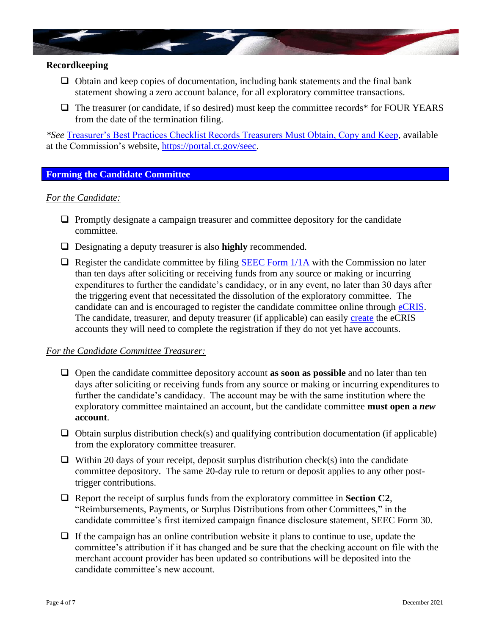

#### **Recordkeeping**

- $\Box$  Obtain and keep copies of documentation, including bank statements and the final bank statement showing a zero account balance, for all exploratory committee transactions.
- □ The treasurer (or candidate, if so desired) must keep the committee records<sup>\*</sup> for FOUR YEARS from the date of the termination filing.

*\*See* [Treasurer's Best Practices Checklist Records Treasurers Must Obtain, Copy and Keep,](https://seec.ct.gov/Portal/data/CEP/news/treasurer_best_practices_records_final_april_2012.pdf) available at the Commission's website, [https://portal.ct.gov/seec.](https://portal.ct.gov/seec)

## **Forming the Candidate Committee**

#### *For the Candidate:*

- ❑ Promptly designate a campaign treasurer and committee depository for the candidate committee.
- ❑ Designating a deputy treasurer is also **highly** recommended.
- $\Box$  Register the candidate committee by filing SEEC Form  $1/1$ A with the Commission no later than ten days after soliciting or receiving funds from any source or making or incurring expenditures to further the candidate's candidacy, or in any event, no later than 30 days after the triggering event that necessitated the dissolution of the exploratory committee. The candidate can and is encouraged to register the candidate committee online through [eCRIS.](https://seec.ct.gov/Portal/eCRIS/eCRISlanding) The candidate, treasurer, and deputy treasurer (if applicable) can easily [create](https://seec.ct.gov/seecSSO2/PublicAccess/CreateUser.aspx?AN=ECRIS) the eCRIS accounts they will need to complete the registration if they do not yet have accounts.

#### *For the Candidate Committee Treasurer:*

- ❑ Open the candidate committee depository account **as soon as possible** and no later than ten days after soliciting or receiving funds from any source or making or incurring expenditures to further the candidate's candidacy. The account may be with the same institution where the exploratory committee maintained an account, but the candidate committee **must open a** *new* **account**.
- $\Box$  Obtain surplus distribution check(s) and qualifying contribution documentation (if applicable) from the exploratory committee treasurer.
- $\Box$  Within 20 days of your receipt, deposit surplus distribution check(s) into the candidate committee depository. The same 20-day rule to return or deposit applies to any other posttrigger contributions.
- ❑ Report the receipt of surplus funds from the exploratory committee in **Section C2**, "Reimbursements, Payments, or Surplus Distributions from other Committees," in the candidate committee's first itemized campaign finance disclosure statement, SEEC Form 30.
- $\Box$  If the campaign has an online contribution website it plans to continue to use, update the committee's attribution if it has changed and be sure that the checking account on file with the merchant account provider has been updated so contributions will be deposited into the candidate committee's new account.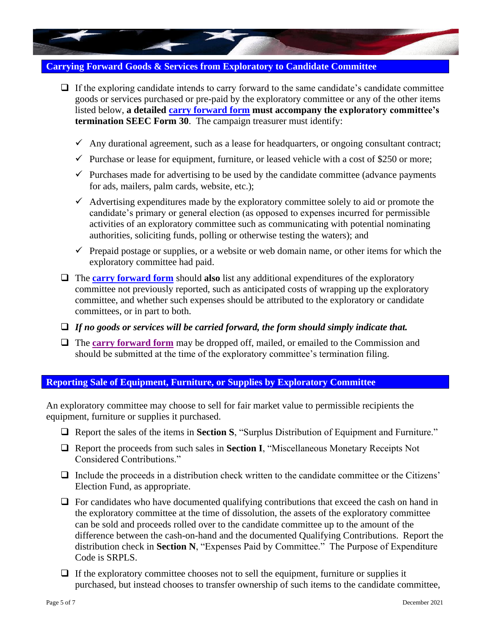## <span id="page-4-0"></span>**Carrying Forward Goods & Services from Exploratory to Candidate Committee**

- $\Box$  If the exploring candidate intends to carry forward to the same candidate's candidate committee goods or services purchased or pre-paid by the exploratory committee or any of the other items listed below, **a detailed [carry forward form](https://seec.ct.gov/Portal/data/forms/RegForms/carry_forward_template_final.pdf) must accompany the exploratory committee's termination SEEC Form 30**. The campaign treasurer must identify:
	- $\checkmark$  Any durational agreement, such as a lease for headquarters, or ongoing consultant contract;
	- $\checkmark$  Purchase or lease for equipment, furniture, or leased vehicle with a cost of \$250 or more;
	- $\checkmark$  Purchases made for advertising to be used by the candidate committee (advance payments for ads, mailers, palm cards, website, etc.);
	- $\checkmark$  Advertising expenditures made by the exploratory committee solely to aid or promote the candidate's primary or general election (as opposed to expenses incurred for permissible activities of an exploratory committee such as communicating with potential nominating authorities, soliciting funds, polling or otherwise testing the waters); and
	- $\checkmark$  Prepaid postage or supplies, or a website or web domain name, or other items for which the exploratory committee had paid.
- ❑ The **[carry forward form](https://seec.ct.gov/Portal/data/forms/RegForms/carry_forward_template_final.pdf)** should **also** list any additional expenditures of the exploratory committee not previously reported, such as anticipated costs of wrapping up the exploratory committee, and whether such expenses should be attributed to the exploratory or candidate committees, or in part to both.
- ❑ *If no goods or services will be carried forward, the form should simply indicate that.*
- □ The **[carry forward form](https://seec.ct.gov/Portal/data/forms/regforms/carry_forward_template_final.pdf)** may be dropped off, mailed, or emailed to the Commission and should be submitted at the time of the exploratory committee's termination filing.

## **Reporting Sale of Equipment, Furniture, or Supplies by Exploratory Committee**

An exploratory committee may choose to sell for fair market value to permissible recipients the equipment, furniture or supplies it purchased.

- ❑ Report the sales of the items in **Section S**, "Surplus Distribution of Equipment and Furniture."
- ❑ Report the proceeds from such sales in **Section I**, "Miscellaneous Monetary Receipts Not Considered Contributions."
- □ Include the proceeds in a distribution check written to the candidate committee or the Citizens' Election Fund, as appropriate.
- $\Box$  For candidates who have documented qualifying contributions that exceed the cash on hand in the exploratory committee at the time of dissolution, the assets of the exploratory committee can be sold and proceeds rolled over to the candidate committee up to the amount of the difference between the cash-on-hand and the documented Qualifying Contributions. Report the distribution check in **Section N**, "Expenses Paid by Committee." The Purpose of Expenditure Code is SRPLS.
- $\Box$  If the exploratory committee chooses not to sell the equipment, furniture or supplies it purchased, but instead chooses to transfer ownership of such items to the candidate committee,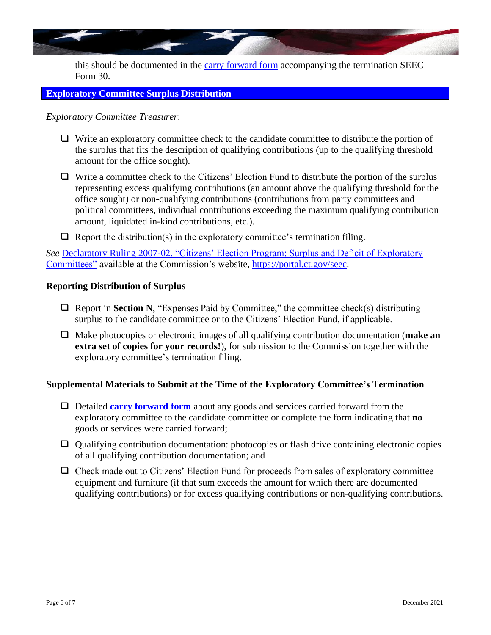

this should be documented in the [carry forward form](https://seec.ct.gov/Portal/data/forms/RegForms/carry_forward_template_final.pdf) accompanying the termination SEEC Form 30.

## <span id="page-5-0"></span>**Exploratory Committee Surplus Distribution**

#### *Exploratory Committee Treasurer*:

- ❑ Write an exploratory committee check to the candidate committee to distribute the portion of the surplus that fits the description of qualifying contributions (up to the qualifying threshold amount for the office sought).
- ❑ Write a committee check to the Citizens' Election Fund to distribute the portion of the surplus representing excess qualifying contributions (an amount above the qualifying threshold for the office sought) or non-qualifying contributions (contributions from party committees and political committees, individual contributions exceeding the maximum qualifying contribution amount, liquidated in-kind contributions, etc.).
- $\Box$  Report the distribution(s) in the exploratory committee's termination filing.

*See* [Declaratory Ruling 2007-02, "Citizens' Election Program: Surplus and Deficit of Exploratory](https://seec.ct.gov/Portal/data/DeclaratoryRulings/decruling200702.pdf)  [Committees"](https://seec.ct.gov/Portal/data/DeclaratoryRulings/decruling200702.pdf) available at the Commission's website, [https://portal.ct.gov/seec.](https://portal.ct.gov/seec)

#### **Reporting Distribution of Surplus**

- ❑ Report in **Section N**, "Expenses Paid by Committee," the committee check(s) distributing surplus to the candidate committee or to the Citizens' Election Fund, if applicable.
- ❑ Make photocopies or electronic images of all qualifying contribution documentation (**make an extra set of copies for your records!**), for submission to the Commission together with the exploratory committee's termination filing.

#### **Supplemental Materials to Submit at the Time of the Exploratory Committee's Termination**

- ❑ Detailed **[carry forward form](https://seec.ct.gov/Portal/data/forms/RegForms/carry_forward_template_final.pdf)** about any goods and services carried forward from the exploratory committee to the candidate committee or complete the form indicating that **no** goods or services were carried forward;
- ❑ Qualifying contribution documentation: photocopies or flash drive containing electronic copies of all qualifying contribution documentation; and
- ❑ Check made out to Citizens' Election Fund for proceeds from sales of exploratory committee equipment and furniture (if that sum exceeds the amount for which there are documented qualifying contributions) or for excess qualifying contributions or non-qualifying contributions.